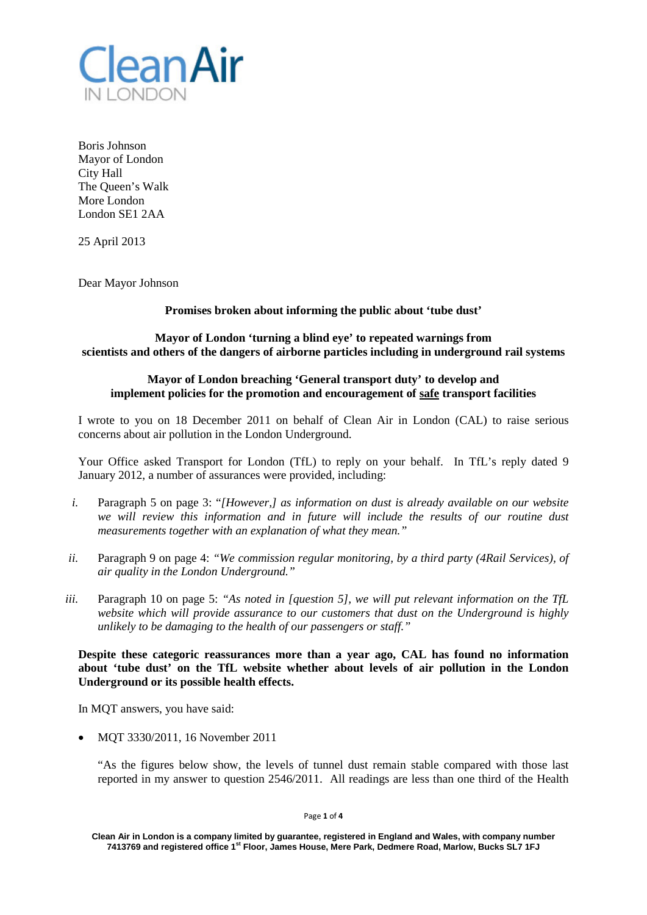

Boris Johnson Mayor of London City Hall The Queen's Walk More London London SE1 2AA

25 April 2013

Dear Mayor Johnson

**Promises broken about informing the public about 'tube dust'**

## **Mayor of London 'turning a blind eye' to repeated warnings from scientists and others of the dangers of airborne particles including in underground rail systems**

# **Mayor of London breaching 'General transport duty' to develop and implement policies for the promotion and encouragement of safe transport facilities**

I wrote to you on 18 December 2011 on behalf of Clean Air in London (CAL) to raise serious concerns about air pollution in the London Underground.

Your Office asked Transport for London (TfL) to reply on your behalf. In TfL's reply dated 9 January 2012, a number of assurances were provided, including:

- *i.* Paragraph 5 on page 3: "*[However,] as information on dust is already available on our website we will review this information and in future will include the results of our routine dust measurements together with an explanation of what they mean."*
- *ii.* Paragraph 9 on page 4: *"We commission regular monitoring, by a third party (4Rail Services), of air quality in the London Underground."*
- *iii.* Paragraph 10 on page 5: *"As noted in [question 5], we will put relevant information on the TfL website which will provide assurance to our customers that dust on the Underground is highly unlikely to be damaging to the health of our passengers or staff."*

**Despite these categoric reassurances more than a year ago, CAL has found no information about 'tube dust' on the TfL website whether about levels of air pollution in the London Underground or its possible health effects.**

In MQT answers, you have said:

• MOT 3330/2011, 16 November 2011

"As the figures below show, the levels of tunnel dust remain stable compared with those last reported in my answer to question 2546/2011. All readings are less than one third of the Health

Page **1** of **4**

**Clean Air in London is a company limited by guarantee, registered in England and Wales, with company number 7413769 and registered office 1st Floor, James House, Mere Park, Dedmere Road, Marlow, Bucks SL7 1FJ**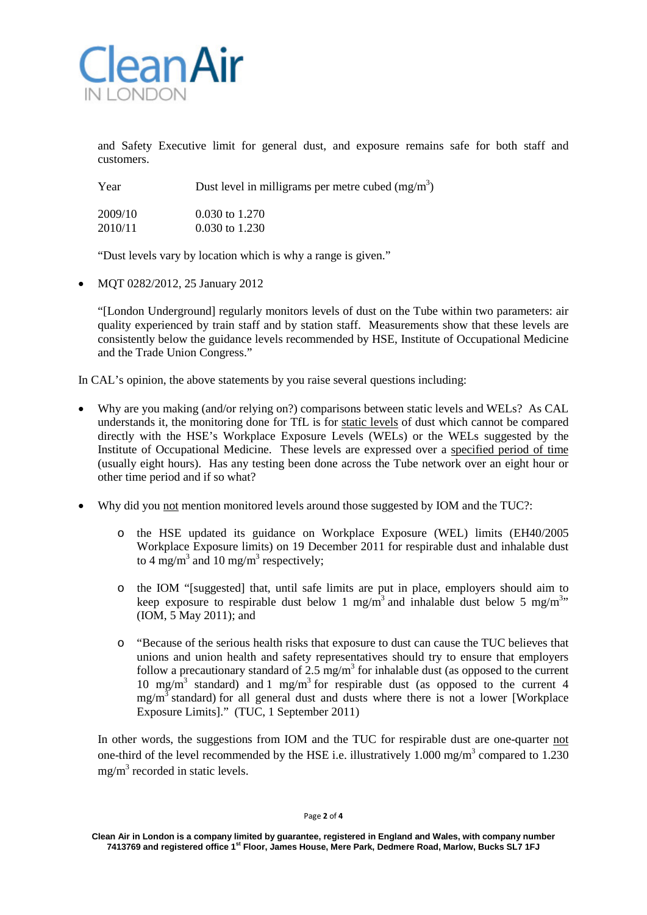

and Safety Executive limit for general dust, and exposure remains safe for both staff and customers.

| Year    | Dust level in milligrams per metre cubed $(mg/m3)$ |
|---------|----------------------------------------------------|
| 2009/10 | $0.030$ to 1.270                                   |
| 2010/11 | $0.030$ to 1.230                                   |

"Dust levels vary by location which is why a range is given."

• MQT 0282/2012, 25 January 2012

"[London Underground] regularly monitors levels of dust on the Tube within two parameters: air quality experienced by train staff and by station staff. Measurements show that these levels are consistently below the guidance levels recommended by HSE, Institute of Occupational Medicine and the Trade Union Congress."

In CAL's opinion, the above statements by you raise several questions including:

- Why are you making (and/or relying on?) comparisons between static levels and WELs? As CAL understands it, the monitoring done for TfL is for static levels of dust which cannot be compared directly with the HSE's Workplace Exposure Levels (WELs) or the WELs suggested by the Institute of Occupational Medicine. These levels are expressed over a specified period of time (usually eight hours). Has any testing been done across the Tube network over an eight hour or other time period and if so what?
- Why did you not mention monitored levels around those suggested by IOM and the TUC?:
	- o the HSE updated its guidance on Workplace Exposure (WEL) limits (EH40/2005 Workplace Exposure limits) on 19 December 2011 for respirable dust and inhalable dust to 4 mg/m<sup>3</sup> and 10 mg/m<sup>3</sup> respectively;
	- o the IOM "[suggested] that, until safe limits are put in place, employers should aim to keep exposure to respirable dust below 1 mg/m<sup>3</sup> and inhalable dust below 5 mg/m<sup>3</sup>" (IOM, 5 May 2011); and
	- o "Because of the serious health risks that exposure to dust can cause the TUC believes that unions and union health and safety representatives should try to ensure that employers follow a precautionary standard of  $2.5 \text{ mg/m}^3$  for inhalable dust (as opposed to the current 10 mg/m<sup>3</sup> standard) and 1 mg/m<sup>3</sup> for respirable dust (as opposed to the current 4  $mg/m<sup>3</sup>$  standard) for all general dust and dusts where there is not a lower [Workplace Exposure Limits]." (TUC, 1 September 2011)

In other words, the suggestions from IOM and the TUC for respirable dust are one-quarter not one-third of the level recommended by the HSE i.e. illustratively  $1.000 \text{ mg/m}^3$  compared to  $1.230$  $mg/m<sup>3</sup>$  recorded in static levels.

Page **2** of **4**

**Clean Air in London is a company limited by guarantee, registered in England and Wales, with company number 7413769 and registered office 1st Floor, James House, Mere Park, Dedmere Road, Marlow, Bucks SL7 1FJ**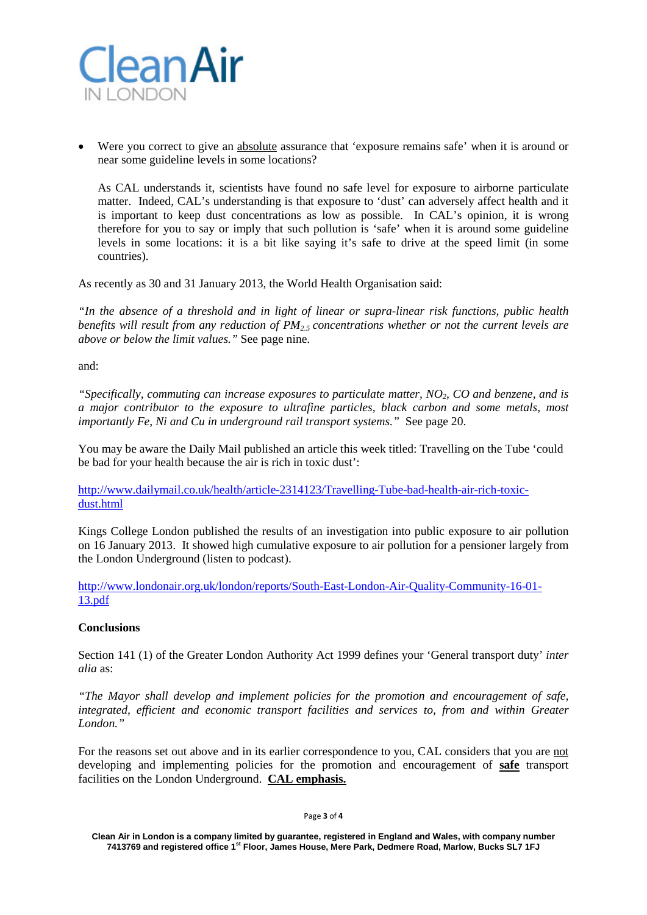

• Were you correct to give an absolute assurance that 'exposure remains safe' when it is around or near some guideline levels in some locations?

As CAL understands it, scientists have found no safe level for exposure to airborne particulate matter. Indeed, CAL's understanding is that exposure to 'dust' can adversely affect health and it is important to keep dust concentrations as low as possible. In CAL's opinion, it is wrong therefore for you to say or imply that such pollution is 'safe' when it is around some guideline levels in some locations: it is a bit like saying it's safe to drive at the speed limit (in some countries).

As recently as 30 and 31 January 2013, the World Health Organisation said:

*"In the absence of a threshold and in light of linear or supra-linear risk functions, public health benefits will result from any reduction of PM2.5 concentrations whether or not the current levels are above or below the limit values."* See page nine.

and:

*"Specifically, commuting can increase exposures to particulate matter, NO2, CO and benzene, and is a major contributor to the exposure to ultrafine particles, black carbon and some metals, most importantly Fe, Ni and Cu in underground rail transport systems."* See page 20.

You may be aware the Daily Mail published an article this week titled: Travelling on the Tube 'could be bad for your health because the air is rich in toxic dust':

[http://www.dailymail.co.uk/health/article-2314123/Travelling-Tube-bad-health-air-rich-toxic](http://www.dailymail.co.uk/health/article-2314123/Travelling-Tube-bad-health-air-rich-toxic-dust.html)[dust.html](http://www.dailymail.co.uk/health/article-2314123/Travelling-Tube-bad-health-air-rich-toxic-dust.html)

Kings College London published the results of an investigation into public exposure to air pollution on 16 January 2013. It showed high cumulative exposure to air pollution for a pensioner largely from the London Underground (listen to podcast).

[http://www.londonair.org.uk/london/reports/South-East-London-Air-Quality-Community-16-01-](http://www.londonair.org.uk/london/reports/South-East-London-Air-Quality-Community-16-01-13.pdf) [13.pdf](http://www.londonair.org.uk/london/reports/South-East-London-Air-Quality-Community-16-01-13.pdf)

### **Conclusions**

Section 141 (1) of the Greater London Authority Act 1999 defines your 'General transport duty' *inter alia* as:

*"The Mayor shall develop and implement policies for the promotion and encouragement of safe, integrated, efficient and economic transport facilities and services to, from and within Greater London."*

For the reasons set out above and in its earlier correspondence to you, CAL considers that you are not developing and implementing policies for the promotion and encouragement of **safe** transport facilities on the London Underground. **CAL emphasis.**

#### Page **3** of **4**

**Clean Air in London is a company limited by guarantee, registered in England and Wales, with company number 7413769 and registered office 1st Floor, James House, Mere Park, Dedmere Road, Marlow, Bucks SL7 1FJ**